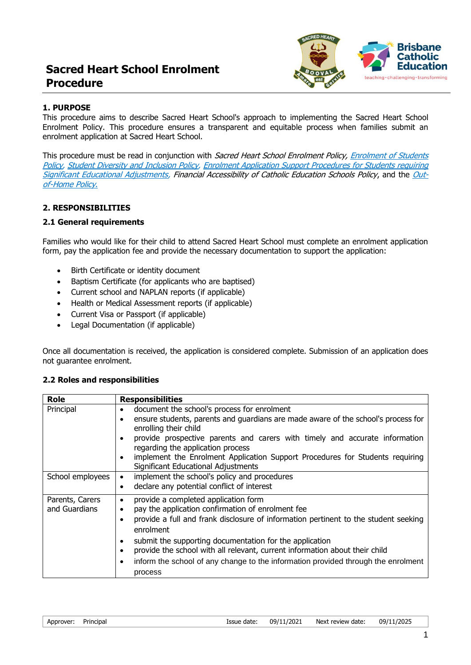# **Sacred Heart School Enrolment Procedure**



### **1. PURPOSE**

This procedure aims to describe Sacred Heart School's approach to implementing the Sacred Heart School Enrolment Policy. This procedure ensures a transparent and equitable process when families submit an enrolment application at Sacred Heart School.

This procedure must be read in conjunction with Sacred Heart School Enrolment Policy, Enrolment of Students [Policy,](http://www.shbooval.qld.edu.au/enrol/Documents/Archdiocese%20of%20Brisbane%20Catholic%20Education%20Council%20Enrolment%20of%20Students%20Policy.pdf) Student [Diversity and Inclusion](http://www.shbooval.qld.edu.au/enrol/Documents/Student%20Diversity%20and%20Inclusion%20policy.pdf) Policy, [Enrolment Application Support Procedures for Students requiring](http://www.shbooval.qld.edu.au/enrol/Pages/Enrolment-Application-&-Support-Procedures.aspx)  [Significant Educational Adjustments,](http://www.shbooval.qld.edu.au/enrol/Pages/Enrolment-Application-&-Support-Procedures.aspx) Financial Accessibility of Catholic Education Schools Policy, and the [Out](http://www.shbooval.qld.edu.au/enrol/Documents/Students%20out%20of%20Home%20Care%20Policy.pdf)[of-Home Policy](http://www.shbooval.qld.edu.au/enrol/Documents/Students%20out%20of%20Home%20Care%20Policy.pdf).

#### **2. RESPONSIBILITIES**

#### **2.1 General requirements**

Families who would like for their child to attend Sacred Heart School must complete an enrolment application form, pay the application fee and provide the necessary documentation to support the application:

- Birth Certificate or identity document
- Baptism Certificate (for applicants who are baptised)
- Current school and NAPLAN reports (if applicable)
- Health or Medical Assessment reports (if applicable)
- Current Visa or Passport (if applicable)
- Legal Documentation (if applicable)

Once all documentation is received, the application is considered complete. Submission of an application does not guarantee enrolment.

#### **2.2 Roles and responsibilities**

| <b>Role</b>                      | <b>Responsibilities</b>                                                                                                                                                                                                                                                                                                                                                                                                                                                                  |
|----------------------------------|------------------------------------------------------------------------------------------------------------------------------------------------------------------------------------------------------------------------------------------------------------------------------------------------------------------------------------------------------------------------------------------------------------------------------------------------------------------------------------------|
| Principal                        | document the school's process for enrolment<br>٠<br>ensure students, parents and guardians are made aware of the school's process for<br>$\bullet$<br>enrolling their child<br>provide prospective parents and carers with timely and accurate information<br>$\bullet$<br>regarding the application process<br>implement the Enrolment Application Support Procedures for Students requiring<br>$\bullet$<br>Significant Educational Adjustments                                        |
| School employees                 | implement the school's policy and procedures<br>$\bullet$<br>declare any potential conflict of interest<br>$\bullet$                                                                                                                                                                                                                                                                                                                                                                     |
| Parents, Carers<br>and Guardians | provide a completed application form<br>٠<br>pay the application confirmation of enrolment fee<br>$\bullet$<br>provide a full and frank disclosure of information pertinent to the student seeking<br>enrolment<br>submit the supporting documentation for the application<br>$\bullet$<br>provide the school with all relevant, current information about their child<br>$\bullet$<br>inform the school of any change to the information provided through the enrolment<br>٠<br>process |